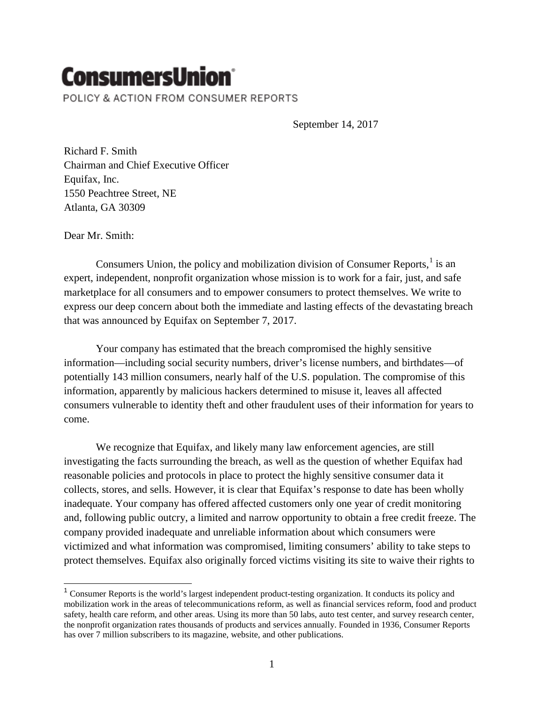# **ConsumersUnion**

POLICY & ACTION FROM CONSUMER REPORTS

September 14, 2017

Richard F. Smith Chairman and Chief Executive Officer Equifax, Inc. 1550 Peachtree Street, NE Atlanta, GA 30309

Dear Mr. Smith:

 $\overline{\phantom{a}}$ 

Consumers Union, the policy and mobilization division of Consumer Reports, $\frac{1}{1}$  $\frac{1}{1}$  $\frac{1}{1}$  is an expert, independent, nonprofit organization whose mission is to work for a fair, just, and safe marketplace for all consumers and to empower consumers to protect themselves. We write to express our deep concern about both the immediate and lasting effects of the devastating breach that was announced by Equifax on September 7, 2017.

Your company has estimated that the breach compromised the highly sensitive information—including social security numbers, driver's license numbers, and birthdates—of potentially 143 million consumers, nearly half of the U.S. population. The compromise of this information, apparently by malicious hackers determined to misuse it, leaves all affected consumers vulnerable to identity theft and other fraudulent uses of their information for years to come.

We recognize that Equifax, and likely many law enforcement agencies, are still investigating the facts surrounding the breach, as well as the question of whether Equifax had reasonable policies and protocols in place to protect the highly sensitive consumer data it collects, stores, and sells. However, it is clear that Equifax's response to date has been wholly inadequate. Your company has offered affected customers only one year of credit monitoring and, following public outcry, a limited and narrow opportunity to obtain a free credit freeze. The company provided inadequate and unreliable information about which consumers were victimized and what information was compromised, limiting consumers' ability to take steps to protect themselves. Equifax also originally forced victims visiting its site to waive their rights to

<span id="page-0-0"></span><sup>&</sup>lt;sup>1</sup> Consumer Reports is the world's largest independent product-testing organization. It conducts its policy and mobilization work in the areas of telecommunications reform, as well as financial services reform, food and product safety, health care reform, and other areas. Using its more than 50 labs, auto test center, and survey research center, the nonprofit organization rates thousands of products and services annually. Founded in 1936, Consumer Reports has over 7 million subscribers to its magazine, website, and other publications.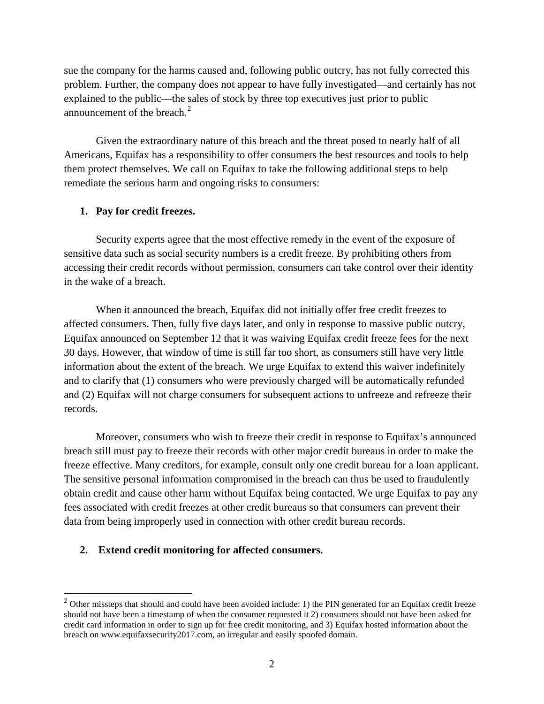sue the company for the harms caused and, following public outcry, has not fully corrected this problem. Further, the company does not appear to have fully investigated—and certainly has not explained to the public—the sales of stock by three top executives just prior to public announcement of the breach. $2^2$  $2^2$ 

Given the extraordinary nature of this breach and the threat posed to nearly half of all Americans, Equifax has a responsibility to offer consumers the best resources and tools to help them protect themselves. We call on Equifax to take the following additional steps to help remediate the serious harm and ongoing risks to consumers:

## **1. Pay for credit freezes.**

Security experts agree that the most effective remedy in the event of the exposure of sensitive data such as social security numbers is a credit freeze. By prohibiting others from accessing their credit records without permission, consumers can take control over their identity in the wake of a breach.

When it announced the breach, Equifax did not initially offer free credit freezes to affected consumers. Then, fully five days later, and only in response to massive public outcry, Equifax announced on September 12 that it was waiving Equifax credit freeze fees for the next 30 days. However, that window of time is still far too short, as consumers still have very little information about the extent of the breach. We urge Equifax to extend this waiver indefinitely and to clarify that (1) consumers who were previously charged will be automatically refunded and (2) Equifax will not charge consumers for subsequent actions to unfreeze and refreeze their records.

Moreover, consumers who wish to freeze their credit in response to Equifax's announced breach still must pay to freeze their records with other major credit bureaus in order to make the freeze effective. Many creditors, for example, consult only one credit bureau for a loan applicant. The sensitive personal information compromised in the breach can thus be used to fraudulently obtain credit and cause other harm without Equifax being contacted. We urge Equifax to pay any fees associated with credit freezes at other credit bureaus so that consumers can prevent their data from being improperly used in connection with other credit bureau records.

# **2. Extend credit monitoring for affected consumers.**

 $\overline{a}$ 

<span id="page-1-0"></span> $2$  Other missteps that should and could have been avoided include: 1) the PIN generated for an Equifax credit freeze should not have been a timestamp of when the consumer requested it 2) consumers should not have been asked for credit card information in order to sign up for free credit monitoring, and 3) Equifax hosted information about the breach on www.equifaxsecurity2017.com, an irregular and easily spoofed domain.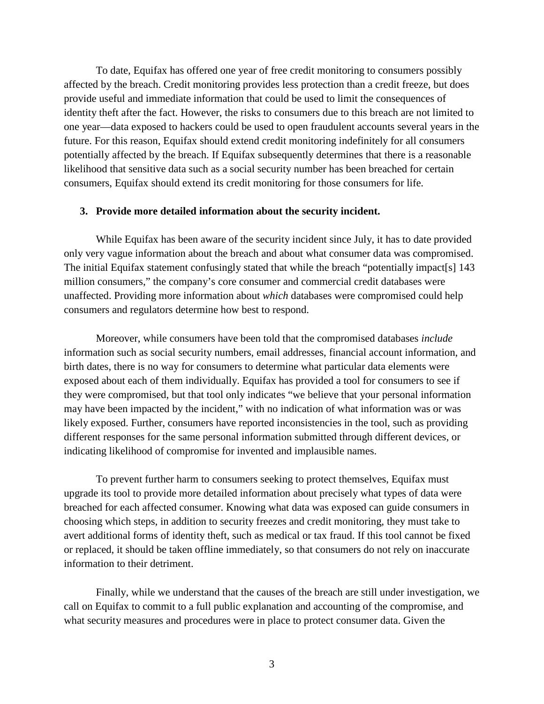To date, Equifax has offered one year of free credit monitoring to consumers possibly affected by the breach. Credit monitoring provides less protection than a credit freeze, but does provide useful and immediate information that could be used to limit the consequences of identity theft after the fact. However, the risks to consumers due to this breach are not limited to one year—data exposed to hackers could be used to open fraudulent accounts several years in the future. For this reason, Equifax should extend credit monitoring indefinitely for all consumers potentially affected by the breach. If Equifax subsequently determines that there is a reasonable likelihood that sensitive data such as a social security number has been breached for certain consumers, Equifax should extend its credit monitoring for those consumers for life.

#### **3. Provide more detailed information about the security incident.**

While Equifax has been aware of the security incident since July, it has to date provided only very vague information about the breach and about what consumer data was compromised. The initial Equifax statement confusingly stated that while the breach "potentially impact[s] 143 million consumers," the company's core consumer and commercial credit databases were unaffected. Providing more information about *which* databases were compromised could help consumers and regulators determine how best to respond.

Moreover, while consumers have been told that the compromised databases *include* information such as social security numbers, email addresses, financial account information, and birth dates, there is no way for consumers to determine what particular data elements were exposed about each of them individually. Equifax has provided a tool for consumers to see if they were compromised, but that tool only indicates "we believe that your personal information may have been impacted by the incident," with no indication of what information was or was likely exposed. Further, consumers have reported inconsistencies in the tool, such as providing different responses for the same personal information submitted through different devices, or indicating likelihood of compromise for invented and implausible names.

To prevent further harm to consumers seeking to protect themselves, Equifax must upgrade its tool to provide more detailed information about precisely what types of data were breached for each affected consumer. Knowing what data was exposed can guide consumers in choosing which steps, in addition to security freezes and credit monitoring, they must take to avert additional forms of identity theft, such as medical or tax fraud. If this tool cannot be fixed or replaced, it should be taken offline immediately, so that consumers do not rely on inaccurate information to their detriment.

Finally, while we understand that the causes of the breach are still under investigation, we call on Equifax to commit to a full public explanation and accounting of the compromise, and what security measures and procedures were in place to protect consumer data. Given the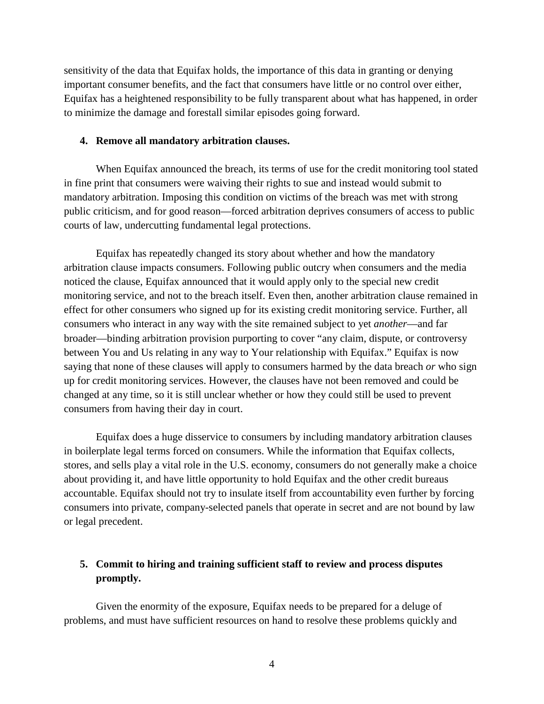sensitivity of the data that Equifax holds, the importance of this data in granting or denying important consumer benefits, and the fact that consumers have little or no control over either, Equifax has a heightened responsibility to be fully transparent about what has happened, in order to minimize the damage and forestall similar episodes going forward.

#### **4. Remove all mandatory arbitration clauses.**

When Equifax announced the breach, its terms of use for the credit monitoring tool stated in fine print that consumers were waiving their rights to sue and instead would submit to mandatory arbitration. Imposing this condition on victims of the breach was met with strong public criticism, and for good reason—forced arbitration deprives consumers of access to public courts of law, undercutting fundamental legal protections.

Equifax has repeatedly changed its story about whether and how the mandatory arbitration clause impacts consumers. Following public outcry when consumers and the media noticed the clause, Equifax announced that it would apply only to the special new credit monitoring service, and not to the breach itself. Even then, another arbitration clause remained in effect for other consumers who signed up for its existing credit monitoring service. Further, all consumers who interact in any way with the site remained subject to yet *another*—and far broader—binding arbitration provision purporting to cover "any claim, dispute, or controversy between You and Us relating in any way to Your relationship with Equifax." Equifax is now saying that none of these clauses will apply to consumers harmed by the data breach *or* who sign up for credit monitoring services. However, the clauses have not been removed and could be changed at any time, so it is still unclear whether or how they could still be used to prevent consumers from having their day in court.

Equifax does a huge disservice to consumers by including mandatory arbitration clauses in boilerplate legal terms forced on consumers. While the information that Equifax collects, stores, and sells play a vital role in the U.S. economy, consumers do not generally make a choice about providing it, and have little opportunity to hold Equifax and the other credit bureaus accountable. Equifax should not try to insulate itself from accountability even further by forcing consumers into private, company-selected panels that operate in secret and are not bound by law or legal precedent.

# **5. Commit to hiring and training sufficient staff to review and process disputes promptly.**

Given the enormity of the exposure, Equifax needs to be prepared for a deluge of problems, and must have sufficient resources on hand to resolve these problems quickly and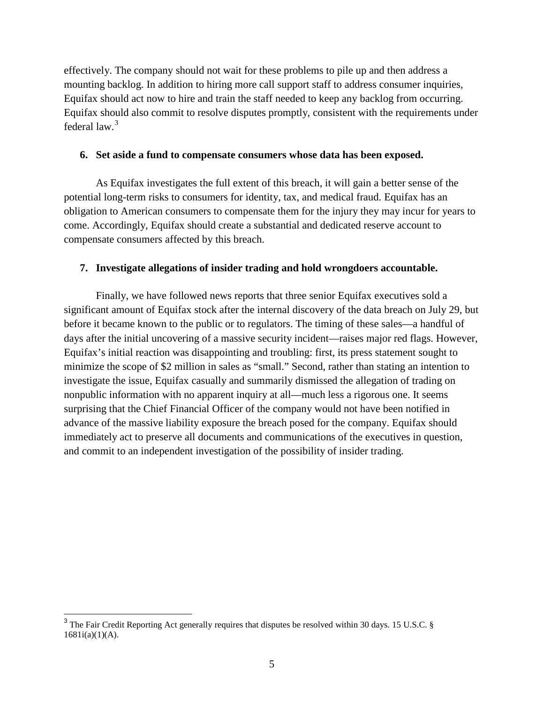effectively. The company should not wait for these problems to pile up and then address a mounting backlog. In addition to hiring more call support staff to address consumer inquiries, Equifax should act now to hire and train the staff needed to keep any backlog from occurring. Equifax should also commit to resolve disputes promptly, consistent with the requirements under federal law.[3](#page-4-0)

#### **6. Set aside a fund to compensate consumers whose data has been exposed.**

As Equifax investigates the full extent of this breach, it will gain a better sense of the potential long-term risks to consumers for identity, tax, and medical fraud. Equifax has an obligation to American consumers to compensate them for the injury they may incur for years to come. Accordingly, Equifax should create a substantial and dedicated reserve account to compensate consumers affected by this breach.

## **7. Investigate allegations of insider trading and hold wrongdoers accountable.**

Finally, we have followed news reports that three senior Equifax executives sold a significant amount of Equifax stock after the internal discovery of the data breach on July 29, but before it became known to the public or to regulators. The timing of these sales—a handful of days after the initial uncovering of a massive security incident—raises major red flags. However, Equifax's initial reaction was disappointing and troubling: first, its press statement sought to minimize the scope of \$2 million in sales as "small." Second, rather than stating an intention to investigate the issue, Equifax casually and summarily dismissed the allegation of trading on nonpublic information with no apparent inquiry at all—much less a rigorous one. It seems surprising that the Chief Financial Officer of the company would not have been notified in advance of the massive liability exposure the breach posed for the company. Equifax should immediately act to preserve all documents and communications of the executives in question, and commit to an independent investigation of the possibility of insider trading.

 $\overline{a}$ 

<span id="page-4-0"></span> $3$  The Fair Credit Reporting Act generally requires that disputes be resolved within 30 days. 15 U.S.C. § 1681i(a)(1)(A).